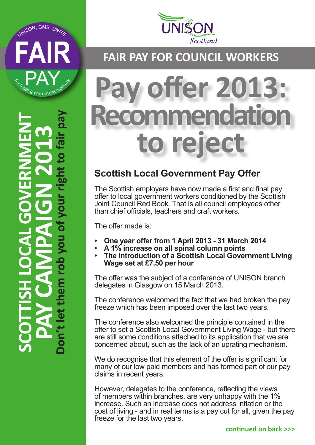





## **FAIR PAY FOR COUNCIL WORKERS**

# **Pay offer 2013: Imendation to reject**

### **Scottish Local Government Pay Offer**

The Scottish employers have now made a first and final pay offer to local government workers conditioned by the Scottish Joint Council Red Book. That is all council employees other than chief officials, teachers and craft workers.

The offer made is:

- **• One year offer from 1 April 2013 31 March 2014**
- **• A 1% increase on all spinal column points**
	- **The introduction of a Scottish Local Government Living Wage set at £7.50 per hour**

The offer was the subject of a conference of UNISON branch delegates in Glasgow on 15 March 2013.

The conference welcomed the fact that we had broken the pay freeze which has been imposed over the last two years.

The conference also welcomed the principle contained in the offer to set a Scottish Local Government Living Wage - but there are still some conditions attached to its application that we are concerned about, such as the lack of an uprating mechanism.

We do recognise that this element of the offer is significant for many of our low paid members and has formed part of our pay claims in recent years.

However, delegates to the conference, reflecting the views of members within branches, are very unhappy with the 1% increase. Such an increase does not address inflation or the cost of living - and in real terms is a pay cut for all, given the pay freeze for the last two years.